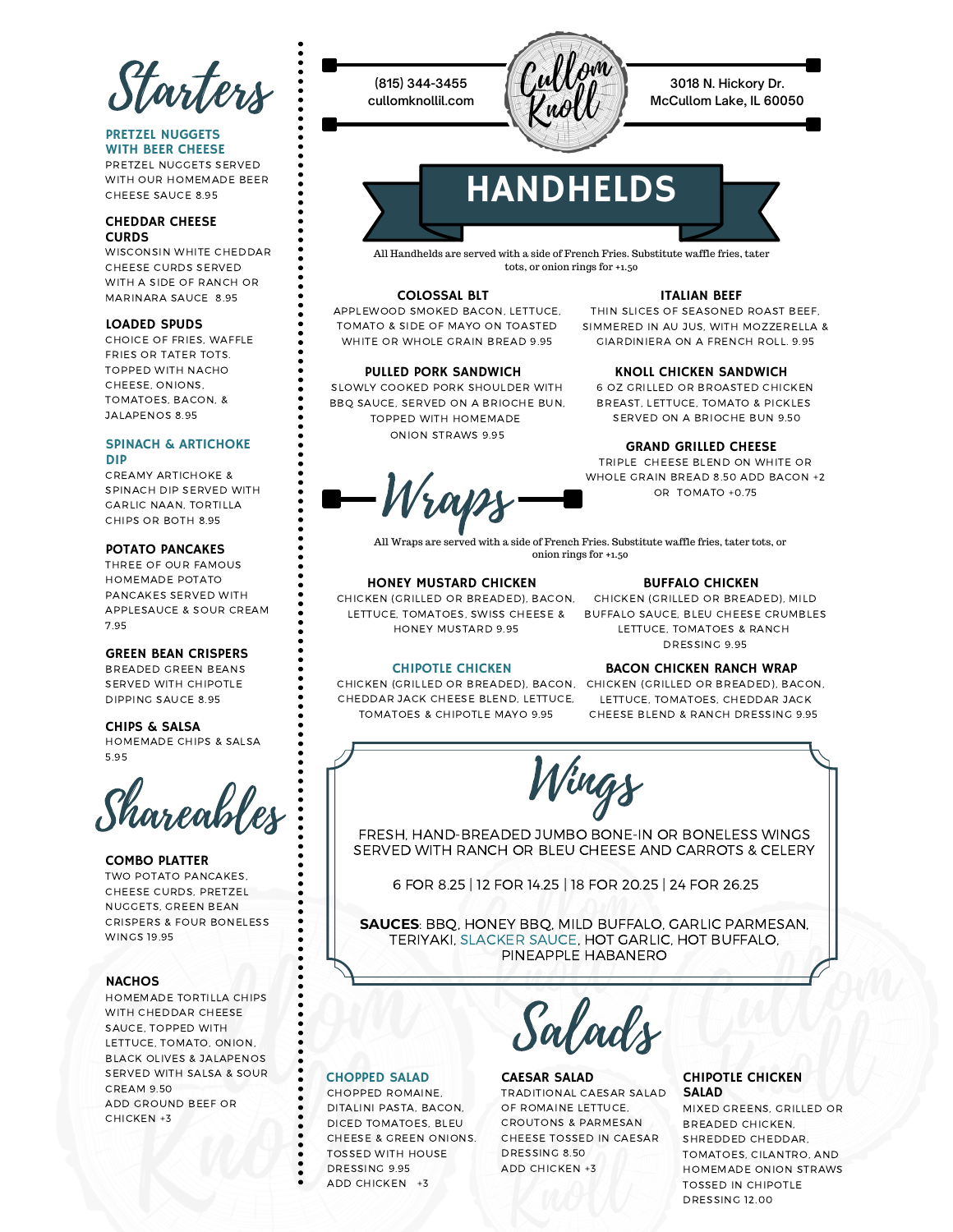Starters

#### PRETZEL NUGGETS WITH BEER CHEESE

PRETZEL NUGGETS SERVED WITH OUR HOMEMADE BEER CHEESE SAUCE 8.95

#### CHEDDAR CHEESE CURDS

WISCONSIN WHITE CHEDDAR CHEESE CURDS SERVED WITH A SIDE OF RANCH OR MARINARA SAUCE 8.95

#### LOADED SPUDS

CHOICE OF FRIES, WAFFLE FRIES OR TATER TOTS. TOPPED WITH NACHO CHEESE, ONIONS, TOMATOES, BACON, & JALAPENOS 8.95

#### SPINACH & ARTICHOKE DIP

CREAMY ARTICHOKE & SPINACH DIP SERVED WITH GARLIC NAAN, TORTILLA CHIPS OR BOTH 8.95

#### POTATO PANCAKES

THREE OF OUR FAMOUS HOMEMADE POTATO PANCAKES SERVED WITH APPLESAUCE & SOUR CREAM 7.95

#### GREEN BEAN CRISPERS

BREADED GREEN BEANS SERVED WITH CHIPOTLE DIPPING SAUCE 8.95

#### CHIPS & SALSA

HOMEMADE CHIPS & SALSA 5.95

Shareables

### COMBO PLATTER

TWO POTATO PANCAKES, CHEESE CURDS, PRETZEL NUGGETS, GREEN BEAN CRISPERS & FOUR BONELESS WINGS 19.95

#### **NACHOS**

HOMEMADE TORTILLA CHIPS WITH CHEDDAR CHEESE SAUCE, TOPPED WITH LETTUCE, TOMATO, ONION, BLACK OLIVES & JALAPENOS SERVED WITH SALSA & SOUR CREAM 9.50 ADD GROUND BEEF OR CHICKEN +3

**(815) 344-3455 cullomknollil.com**



**3018 N. Hickory Dr. McCullom Lake, IL 60050**

# **HANDHELDS**



#### COLOSSAL BLT

APPLEWOOD SMOKED BACON, LETTUCE, TOMATO & SIDE OF MAYO ON TOASTED WHITE OR WHOLE GRAIN BREAD 9.95

ITALIAN BEEF

THIN SLICES OF SEASONED ROAST BEEF, SIMMERED IN AU JUS, WITH MOZZERELLA & GIARDINIERA ON A FRENCH ROLL. 9.95

#### PULLED PORK SANDWICH

SLOWLY COOKED PORK SHOULDER WITH BBQ SAUCE, SERVED ON A BRIOCHE BUN, TOPPED WITH HOMEMADE ONION STRAWS 9.95

#### KNOLL CHICKEN SANDWICH

6 OZ GRILLED OR BROASTED CHICKEN BREAST, LETTUCE, TOMATO & PICKLES SERVED ON A BRIOCHE BUN 9.50

#### GRAND GRILLED CHEESE

TRIPLE CHEESE BLEND ON WHITE OR WHOLE GRAIN BREAD 8.50 ADD BACON +2 OR TOMATO +0.75

Wraps

All Wraps are served with a side of French Fries. Substitute waffle fries, tater tots, or onion rings for +1.50

#### HONEY MUSTARD CHICKEN

CHICKEN (GRILLED OR BREADED), BACON, HONEY MUSTARD 9.95

#### BUFFALO CHICKEN

LETTUCE, TOMATOES, SWISS CHEESE & BUFFALO SAUCE, BLEU CHEESE CRUMBLES CHICKEN (GRILLED OR BREADED), MILD LETTUCE, TOMATOES & RANCH DRESSING 9.95

#### CHIPOTLE CHICKEN

CHICKEN (GRILLED OR BREADED), BACON, CHICKEN (GRILLED OR BREADED), BACON, CHEDDAR JACK CHEESE BLEND, LETTUCE, TOMATOES & CHIPOTLE MAYO 9.95

#### BACON CHICKEN RANCH WRAP

LETTUCE, TOMATOES, CHEDDAR JACK CHEESE BLEND & RANCH DRESSING 9.95

Wings

FRESH, HAND-BREADED JUMBO BONE-IN OR BONELESS WINGS SERVED WITH RANCH OR BLEU CHEESE AND CARROTS & CELERY

6 FOR 8.25 | 12 FOR 14.25 | 18 FOR 20.25 | 24 FOR 26.25

**SAUCES**: BBQ, HONEY BBQ, MILD BUFFALO, GARLIC PARMESAN, TERIYAKI, SLACKER SAUCE, HOT GARLIC, HOT BUFFALO, PINEAPPLE HABANERO

alads

## CHOPPED SALAD

CHOPPED ROMAINE, DITALINI PASTA, BACON, DICED TOMATOES, BLEU CHEESE & GREEN ONIONS. TOSSED WITH HOUSE DRESSING 9.95 ADD CHICKEN +3

## CAESAR SALAD

TRADITIONAL CAESAR SALAD OF ROMAINE LETTUCE, CROUTONS & PARMESAN CHEESE TOSSED IN CAESAR DRESSING 8.50 ADD CHICKEN +3

## CHIPOTLE CHICKEN<br>SALAD

MIXED GREENS, GRILLED OR BREADED CHICKEN, SHREDDED CHEDDAR, TOMATOES, CILANTRO, AND HOMEMADE ONION STRAWS TOSSED IN CHIPOTLE DRESSING 12.00